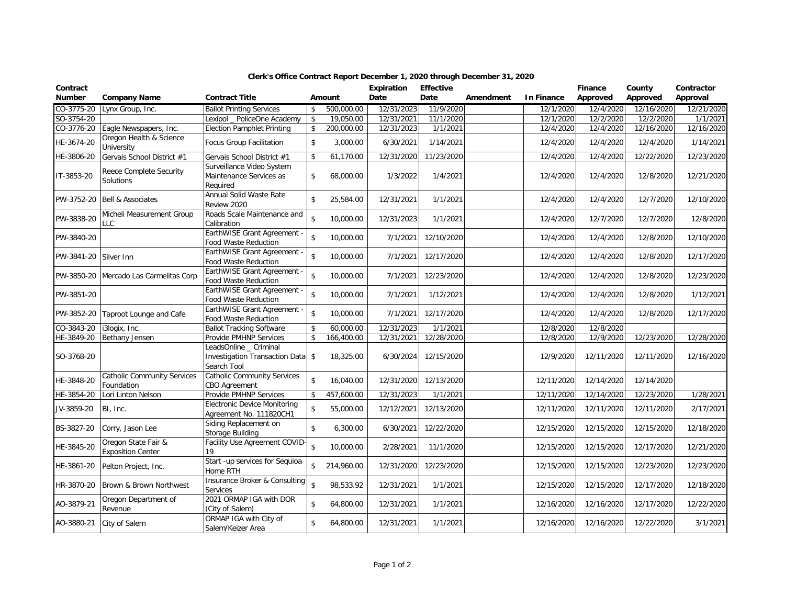| Contract<br><b>Number</b> | <b>Company Name</b>                              | <b>Contract Title</b>                                                      |                    | Amount     | Expiration<br>Date | <b>Effective</b><br>Date | Amendment | In Finance | Finance<br>Approved | County<br>Approved | Contractor<br>Approval |
|---------------------------|--------------------------------------------------|----------------------------------------------------------------------------|--------------------|------------|--------------------|--------------------------|-----------|------------|---------------------|--------------------|------------------------|
| CO-3775-20                | Lynx Group, Inc.                                 | <b>Ballot Printing Services</b>                                            | \$                 | 500,000.00 | 12/31/2023         | 11/9/2020                |           | 12/1/2020  | 12/4/2020           | 12/16/2020         | 12/21/2020             |
| SO-3754-20                |                                                  | Lexipol PoliceOne Academy                                                  | $\mathbf{\hat{S}}$ | 19,050.00  | 12/31/2021         | 11/1/2020                |           | 12/1/2020  | 12/2/2020           | 12/2/2020          | 1/1/2021               |
| CO-3776-20                | Eagle Newspapers, Inc.                           | <b>Election Pamphlet Printing</b>                                          | $\mathbf{\hat{S}}$ | 200,000.00 | 12/31/2023         | 1/1/2021                 |           | 12/4/2020  | 12/4/2020           | 12/16/2020         | 12/16/2020             |
| HE-3674-20                | Oregon Health & Science<br>University            | <b>Focus Group Facilitation</b>                                            | \$                 | 3,000.00   | 6/30/2021          | 1/14/2021                |           | 12/4/2020  | 12/4/2020           | 12/4/2020          | 1/14/2021              |
| HE-3806-20                | Gervais School District #1                       | Gervais School District #1                                                 | \$                 | 61,170.00  | 12/31/2020         | 11/23/2020               |           | 12/4/2020  | 12/4/2020           | 12/22/2020         | 12/23/2020             |
|                           | <b>Reece Complete Security</b>                   | Surveillance Video System                                                  |                    |            |                    |                          |           |            |                     |                    |                        |
| IT-3853-20                | Solutions                                        | Maintenance Services as<br>Required                                        | $\mathsf{\$}$      | 68,000.00  | 1/3/2022           | 1/4/2021                 |           | 12/4/2020  | 12/4/2020           | 12/8/2020          | 12/21/2020             |
| PW-3752-20                | <b>Bell &amp; Associates</b>                     | Annual Solid Waste Rate<br>Review 2020                                     | $\mathbf{\hat{S}}$ | 25,584.00  | 12/31/2021         | 1/1/2021                 |           | 12/4/2020  | 12/4/2020           | 12/7/2020          | 12/10/2020             |
| PW-3838-20                | Micheli Measurement Group<br><b>LLC</b>          | Roads Scale Maintenance and<br>Calibration                                 | \$                 | 10,000.00  | 12/31/2023         | 1/1/2021                 |           | 12/4/2020  | 12/7/2020           | 12/7/2020          | 12/8/2020              |
| PW-3840-20                |                                                  | EarthWISE Grant Agreement -<br><b>Food Waste Reduction</b>                 | $\mathsf{\$}$      | 10,000.00  | 7/1/2021           | 12/10/2020               |           | 12/4/2020  | 12/4/2020           | 12/8/2020          | 12/10/2020             |
| PW-3841-20                | Silver Inn                                       | EarthWISE Grant Agreement -<br><b>Food Waste Reduction</b>                 | $\,$               | 10,000.00  | 7/1/2021           | 12/17/2020               |           | 12/4/2020  | 12/4/2020           | 12/8/2020          | 12/17/2020             |
| PW-3850-20                | Mercado Las Carmelitas Corp                      | EarthWISE Grant Agreement<br>Food Waste Reduction                          | $\mathbf{\hat{S}}$ | 10,000.00  | 7/1/2021           | 12/23/2020               |           | 12/4/2020  | 12/4/2020           | 12/8/2020          | 12/23/2020             |
| PW-3851-20                |                                                  | EarthWISE Grant Agreement -<br>Food Waste Reduction                        | \$                 | 10,000.00  | 7/1/2021           | 1/12/2021                |           | 12/4/2020  | 12/4/2020           | 12/8/2020          | 1/12/2021              |
| PW-3852-20                | Taproot Lounge and Cafe                          | EarthWISE Grant Agreement -<br><b>Food Waste Reduction</b>                 | $\mathbf{\hat{S}}$ | 10,000.00  | 7/1/2021           | 12/17/2020               |           | 12/4/2020  | 12/4/2020           | 12/8/2020          | 12/17/2020             |
| CO-3843-20                | i3logix, Inc.                                    | <b>Ballot Tracking Software</b>                                            | \$                 | 60,000.00  | 12/31/2023         | 1/1/2021                 |           | 12/8/2020  | 12/8/2020           |                    |                        |
| HE-3849-20                | Bethany Jensen                                   | Provide PMHNP Services                                                     | $\mathbf{\hat{S}}$ | 166,400.00 | 12/31/2021         | 12/28/2020               |           | 12/8/2020  | 12/9/2020           | 12/23/2020         | 12/28/2020             |
| SO-3768-20                |                                                  | LeadsOnline _ Criminal<br>Investigation Transaction Data \$<br>Search Tool |                    | 18,325.00  | 6/30/2024          | 12/15/2020               |           | 12/9/2020  | 12/11/2020          | 12/11/2020         | 12/16/2020             |
| HE-3848-20                | <b>Catholic Community Services</b><br>Foundation | <b>Catholic Community Services</b><br><b>CBO Agreement</b>                 | $\mathbf{\hat{z}}$ | 16,040.00  | 12/31/2020         | 12/13/2020               |           | 12/11/2020 | 12/14/2020          | 12/14/2020         |                        |
| HE-3854-20                | Lori Linton Nelson                               | Provide PMHNP Services                                                     | \$                 | 457,600.00 | 12/31/2023         | 1/1/2021                 |           | 12/11/2020 | 12/14/2020          | 12/23/2020         | 1/28/2021              |
| JV-3859-20                | BI, Inc.                                         | <b>Electronic Device Monitoring</b><br>Agreement No. 111820CH1             | \$                 | 55,000.00  | 12/12/2021         | 12/13/2020               |           | 12/11/2020 | 12/11/2020          | 12/11/2020         | 2/17/2021              |
| BS-3827-20                | Corry, Jason Lee                                 | Siding Replacement on<br>Storage Building                                  | \$                 | 6,300.00   | 6/30/2021          | 12/22/2020               |           | 12/15/2020 | 12/15/2020          | 12/15/2020         | 12/18/2020             |
| HE-3845-20                | Oregon State Fair &<br><b>Exposition Center</b>  | Facility Use Agreement COVID-<br>19                                        | \$                 | 10,000.00  | 2/28/2021          | 11/1/2020                |           | 12/15/2020 | 12/15/2020          | 12/17/2020         | 12/21/2020             |
| HE-3861-20                | Pelton Project, Inc.                             | Start -up services for Sequioa<br>Home RTH                                 | $\mathbf{\hat{z}}$ | 214,960.00 | 12/31/2020         | 12/23/2020               |           | 12/15/2020 | 12/15/2020          | 12/23/2020         | 12/23/2020             |
| HR-3870-20                | Brown & Brown Northwest                          | Insurance Broker & Consulting<br>Services                                  | $\hat{\mathbf{S}}$ | 98,533.92  | 12/31/2021         | 1/1/2021                 |           | 12/15/2020 | 12/15/2020          | 12/17/2020         | 12/18/2020             |
| AO-3879-21                | Oregon Department of<br>Revenue                  | 2021 ORMAP IGA with DOR<br>(City of Salem)                                 | \$                 | 64,800.00  | 12/31/2021         | 1/1/2021                 |           | 12/16/2020 | 12/16/2020          | 12/17/2020         | 12/22/2020             |
| AO-3880-21                | City of Salem                                    | ORMAP IGA with City of<br>Salem/Keizer Area                                | \$                 | 64,800.00  | 12/31/2021         | 1/1/2021                 |           | 12/16/2020 | 12/16/2020          | 12/22/2020         | 3/1/2021               |

## **Clerk's Office Contract Report December 1, 2020 through December 31, 2020**